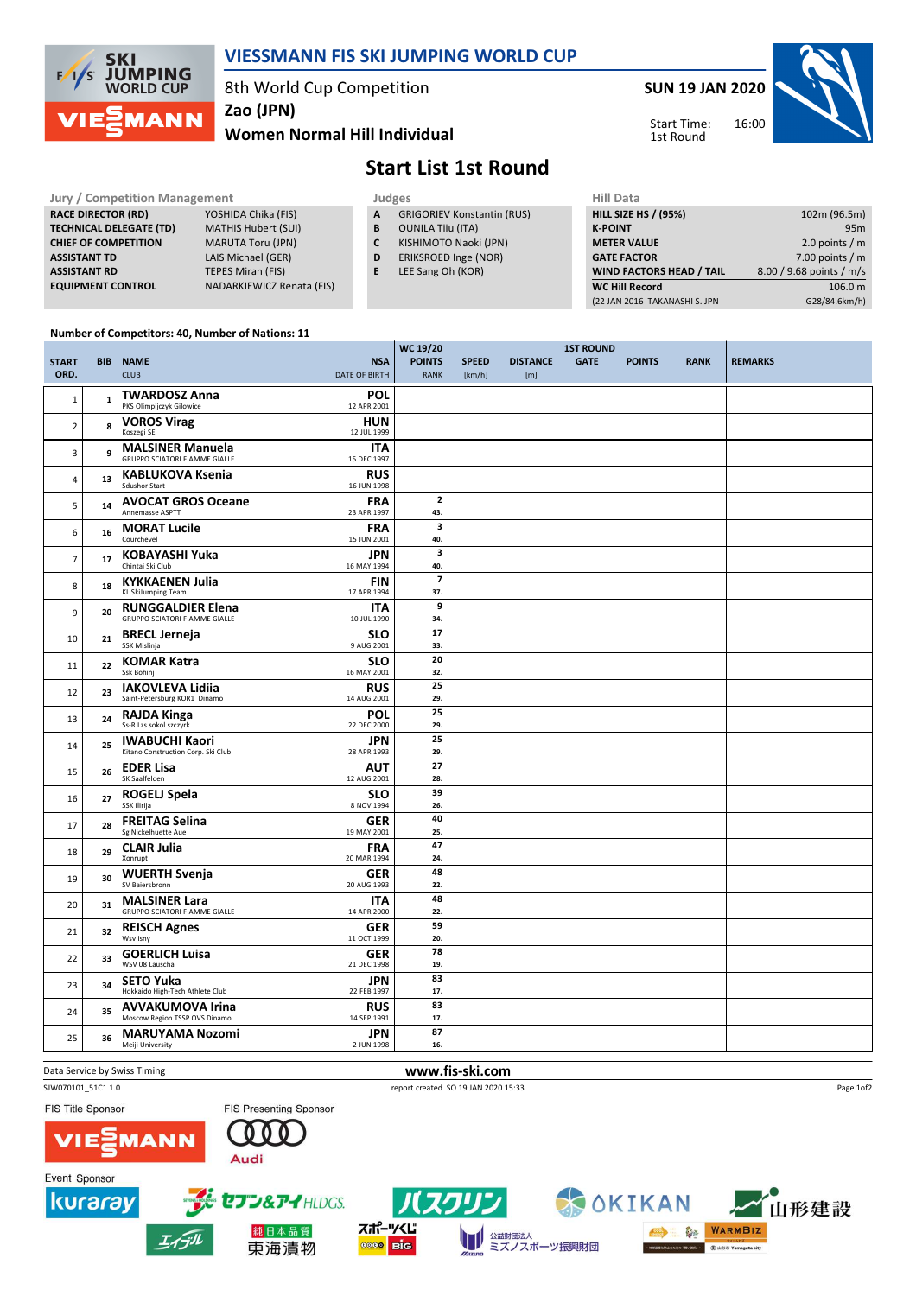

### VIESSMANN FIS SKI JUMPING WORLD CUP

WC 19/20

8th World Cup Competition

Zao (JPN)

### Women Normal Hill Individual

SUN 19 JAN 2020



Start Time: 1st Round

# Start List 1st Round

| <b>Jury / Competition Management</b> |                                  |   | Judges                            | <b>Hill Data</b>   |
|--------------------------------------|----------------------------------|---|-----------------------------------|--------------------|
| <b>RACE DIRECTOR (RD)</b>            | YOSHIDA Chika (FIS)              | A | <b>GRIGORIEV Konstantin (RUS)</b> | <b>HILL SIZE H</b> |
| <b>TECHNICAL DELEGATE (TD)</b>       | <b>MATHIS Hubert (SUI)</b>       | в | <b>OUNILA Tiju (ITA)</b>          | <b>K-POINT</b>     |
| <b>CHIEF OF COMPETITION</b>          | <b>MARUTA Toru (JPN)</b>         |   | KISHIMOTO Naoki (JPN)             | <b>METER VA</b>    |
| <b>ASSISTANT TD</b>                  | LAIS Michael (GER)               | D | ERIKSROED Inge (NOR)              | <b>GATE FACT</b>   |
| <b>ASSISTANT RD</b>                  | <b>TEPES Miran (FIS)</b>         |   | LEE Sang Oh (KOR)                 | <b>WIND FAC</b>    |
| <b>EQUIPMENT CONTROL</b>             | <b>NADARKIEWICZ Renata (FIS)</b> |   |                                   | <b>WC Hill Re</b>  |

| Hill Data                       |                          |
|---------------------------------|--------------------------|
| <b>HILL SIZE HS / (95%)</b>     | 102m (96.5m)             |
| <b>K-POINT</b>                  | 95m                      |
| <b>METER VALUE</b>              | 2.0 points $/m$          |
| <b>GATE FACTOR</b>              | 7.00 points $/m$         |
| <b>WIND FACTORS HEAD / TAIL</b> | 8.00 / 9.68 points / m/s |
| <b>WC Hill Record</b>           | 106.0 m                  |
| (22 JAN 2016 TAKANASHI S. JPN   | G28/84.6km/h)            |
|                                 |                          |

#### Number of Competitors: 40, Number of Nations: 11

|                |              |                                                                  |                           | WC 19/20              |              | <b>1ST ROUND</b> |             |               |             |                |
|----------------|--------------|------------------------------------------------------------------|---------------------------|-----------------------|--------------|------------------|-------------|---------------|-------------|----------------|
| <b>START</b>   |              | <b>BIB NAME</b>                                                  | <b>NSA</b>                | <b>POINTS</b>         | <b>SPEED</b> | <b>DISTANCE</b>  | <b>GATE</b> | <b>POINTS</b> | <b>RANK</b> | <b>REMARKS</b> |
| ORD.           |              | <b>CLUB</b>                                                      | <b>DATE OF BIRTH</b>      | <b>RANK</b>           | [km/h]       | [m]              |             |               |             |                |
| $\mathbf{1}$   | $\mathbf{1}$ | <b>TWARDOSZ Anna</b>                                             | POL                       |                       |              |                  |             |               |             |                |
|                |              | PKS Olimpijczyk Gilowice                                         | 12 APR 2001               |                       |              |                  |             |               |             |                |
| $\overline{2}$ | 8            | <b>VOROS Virag</b><br>Koszegi SE                                 | <b>HUN</b><br>12 JUL 1999 |                       |              |                  |             |               |             |                |
| 3              | 9            | <b>MALSINER Manuela</b><br><b>GRUPPO SCIATORI FIAMME GIALLE</b>  | <b>ITA</b><br>15 DEC 1997 |                       |              |                  |             |               |             |                |
| $\overline{4}$ | 13           | <b>KABLUKOVA Ksenia</b><br><b>Sdushor Start</b>                  | <b>RUS</b><br>16 JUN 1998 |                       |              |                  |             |               |             |                |
| 5              | 14           | <b>AVOCAT GROS Oceane</b><br>Annemasse ASPTT                     | <b>FRA</b><br>23 APR 1997 | $\overline{2}$<br>43. |              |                  |             |               |             |                |
| 6              | 16           | <b>MORAT Lucile</b><br>Courchevel                                | <b>FRA</b><br>15 JUN 2001 | 3<br>40.              |              |                  |             |               |             |                |
| $\overline{7}$ | 17           | <b>KOBAYASHI Yuka</b><br>Chintai Ski Club                        | JPN<br>16 MAY 1994        | 3<br>40.              |              |                  |             |               |             |                |
| 8              | 18           | <b>KYKKAENEN Julia</b><br><b>KL SkiJumping Team</b>              | <b>FIN</b><br>17 APR 1994 | $\overline{7}$<br>37. |              |                  |             |               |             |                |
| 9              | 20           | <b>RUNGGALDIER Elena</b><br><b>GRUPPO SCIATORI FIAMME GIALLE</b> | <b>ITA</b><br>10 JUL 1990 | 9<br>34.              |              |                  |             |               |             |                |
| 10             | 21           | <b>BRECL Jerneja</b><br>SSK Mislinja                             | <b>SLO</b><br>9 AUG 2001  | 17<br>33.             |              |                  |             |               |             |                |
| 11             | 22           | <b>KOMAR Katra</b><br>Ssk Bohinj                                 | <b>SLO</b><br>16 MAY 2001 | 20<br>32.             |              |                  |             |               |             |                |
| 12             | 23           | <b>IAKOVLEVA Lidiia</b><br>Saint-Petersburg KOR1 Dinamo          | <b>RUS</b><br>14 AUG 2001 | 25<br>29.             |              |                  |             |               |             |                |
| 13             | 24           | <b>RAJDA Kinga</b><br>Ss-R Lzs sokol szczyrk                     | <b>POL</b><br>22 DEC 2000 | 25<br>29.             |              |                  |             |               |             |                |
| 14             | 25           | <b>IWABUCHI Kaori</b><br>Kitano Construction Corp. Ski Club      | <b>JPN</b><br>28 APR 1993 | 25<br>29.             |              |                  |             |               |             |                |
| 15             | 26           | <b>EDER Lisa</b><br>SK Saalfelden                                | <b>AUT</b><br>12 AUG 2001 | 27<br>28.             |              |                  |             |               |             |                |
| 16             | 27           | <b>ROGELJ Spela</b><br>SSK Ilirija                               | <b>SLO</b><br>8 NOV 1994  | 39<br>26.             |              |                  |             |               |             |                |
| 17             | 28           | <b>FREITAG Selina</b><br>Sg Nickelhuette Aue                     | <b>GER</b><br>19 MAY 2001 | 40<br>25.             |              |                  |             |               |             |                |
| 18             | 29           | <b>CLAIR Julia</b><br>Xonrupt                                    | <b>FRA</b><br>20 MAR 1994 | 47<br>24.             |              |                  |             |               |             |                |
| 19             | 30           | <b>WUERTH Svenja</b><br>SV Baiersbronn                           | <b>GER</b><br>20 AUG 1993 | 48<br>22.             |              |                  |             |               |             |                |
| 20             | 31           | <b>MALSINER Lara</b><br><b>GRUPPO SCIATORI FIAMME GIALLE</b>     | <b>ITA</b><br>14 APR 2000 | 48<br>22.             |              |                  |             |               |             |                |
| 21             | 32           | <b>REISCH Agnes</b><br>Wsv Isny                                  | <b>GER</b><br>11 OCT 1999 | 59<br>20.             |              |                  |             |               |             |                |
| 22             | 33           | <b>GOERLICH Luisa</b><br>WSV 08 Lauscha                          | <b>GER</b><br>21 DEC 1998 | 78<br>19.             |              |                  |             |               |             |                |
| 23             | 34           | <b>SETO Yuka</b><br>Hokkaido High-Tech Athlete Club              | <b>JPN</b><br>22 FEB 1997 | 83<br>17.             |              |                  |             |               |             |                |
| 24             | 35           | <b>AVVAKUMOVA Irina</b><br>Moscow Region TSSP OVS Dinamo         | <b>RUS</b><br>14 SEP 1991 | 83<br>17.             |              |                  |             |               |             |                |
| 25             | 36           | <b>MARUYAMA Nozomi</b><br>Meiji University                       | <b>JPN</b><br>2 JUN 1998  | 87<br>16.             |              |                  |             |               |             |                |
|                |              |                                                                  |                           |                       |              |                  |             |               |             |                |

Data Service by Swiss Timing **WWW.fis-ski.com** 

SJW070101\_51C1 1.0 report created SO 19 JAN 2020 15:33

FIS Title Sponsor

Event Sponsor

kuraray





純日本品質

東海漬物







山形建設